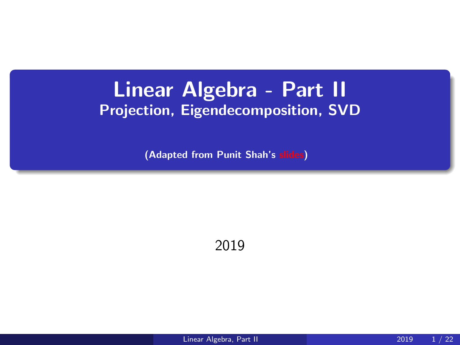#### <span id="page-0-0"></span>Linear Algebra - Part II Projection, Eigendecomposition, SVD

(Adapted from Punit Shah's [slides\)](http://www.cs.toronto.edu/~rgrosse/courses/csc411_f18/tutorials/tut4_slides.pdf)

2019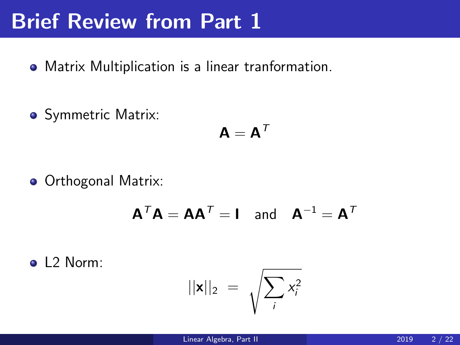#### Brief Review from Part 1

- Matrix Multiplication is a linear tranformation.
- Symmetric Matrix:

$$
\mathbf{A} = \mathbf{A}^{\mathsf{T}}
$$

**• Orthogonal Matrix:** 

$$
\mathbf{A}^T \mathbf{A} = \mathbf{A} \mathbf{A}^T = \mathbf{I} \quad \text{and} \quad \mathbf{A}^{-1} = \mathbf{A}^T
$$

o 1.2 Norm:

$$
||\mathbf{x}||_2 = \sqrt{\sum_i x_i^2}
$$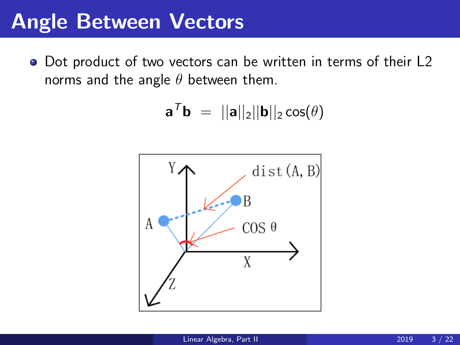#### Angle Between Vectors

• Dot product of two vectors can be written in terms of their L2 norms and the angle  $\theta$  between them.

$$
\mathbf{a}^T \mathbf{b} \;=\; ||\mathbf{a}||_2 ||\mathbf{b}||_2 \cos(\theta)
$$

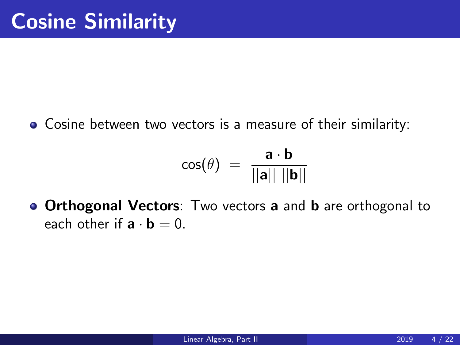Cosine between two vectors is a measure of their similarity:

$$
\cos(\theta) = \frac{\mathbf{a} \cdot \mathbf{b}}{||\mathbf{a}|| \, ||\mathbf{b}||}
$$

**• Orthogonal Vectors**: Two vectors **a** and **b** are orthogonal to each other if  $\mathbf{a} \cdot \mathbf{b} = 0$ .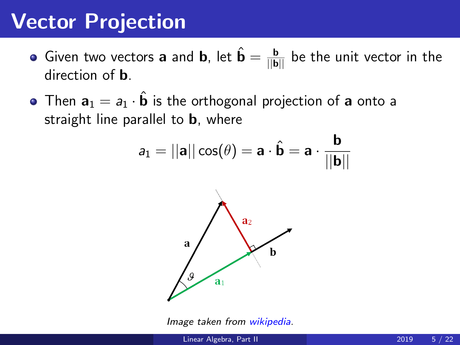## Vector Projection

- Given two vectors **a** and **b**, let  $\hat{\mathbf{b}} = \frac{\mathbf{b}}{||\mathbf{b}||}$  be the unit vector in the direction of b.
- Then  $a_1 = a_1 \cdot \hat{b}$  is the orthogonal projection of a onto a straight line parallel to **b**, where

$$
a_1 = ||\mathbf{a}||\cos(\theta) = \mathbf{a} \cdot \hat{\mathbf{b}} = \mathbf{a} \cdot \frac{\mathbf{b}}{||\mathbf{b}||}
$$



Image taken from [wikipedia.](https://en.wikipedia.org/wiki/Vector_projection)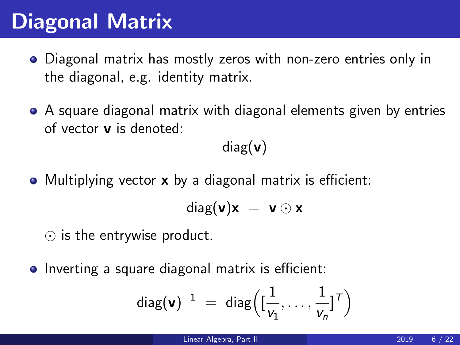# Diagonal Matrix

- Diagonal matrix has mostly zeros with non-zero entries only in the diagonal, e.g. identity matrix.
- A square diagonal matrix with diagonal elements given by entries of vector v is denoted:

 $diag(v)$ 

• Multiplying vector x by a diagonal matrix is efficient:

$$
diag(\mathbf{v})\mathbf{x} = \mathbf{v} \odot \mathbf{x}
$$

- $\odot$  is the entrywise product.
- Inverting a square diagonal matrix is efficient:

$$
\mathsf{diag}(\mathbf{v})^{-1} \ = \ \mathsf{diag}\Big([\frac{1}{v_1},\ldots,\frac{1}{v_n}]^{\mathsf{T}}\Big)
$$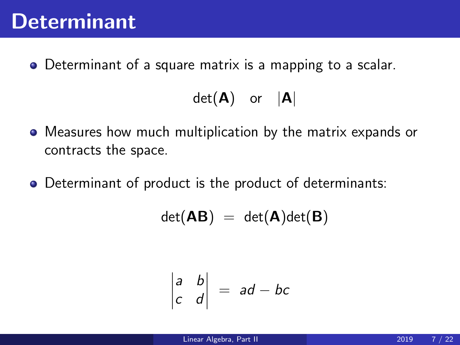Determinant of a square matrix is a mapping to a scalar.

$$
\det(\mathbf{A}) \quad \text{or} \quad |\mathbf{A}|
$$

- Measures how much multiplication by the matrix expands or contracts the space.
- Determinant of product is the product of determinants:

$$
\det(\mathbf{A}\mathbf{B})\ =\ \det(\mathbf{A})\det(\mathbf{B})
$$

$$
\begin{vmatrix} a & b \\ c & d \end{vmatrix} = ad - bc
$$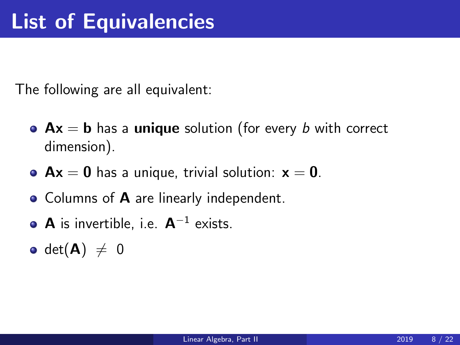The following are all equivalent:

- $Ax = b$  has a unique solution (for every b with correct dimension).
- $Ax = 0$  has a unique, trivial solution:  $x = 0$ .
- Columns of **A** are linearly independent.
- **A** is invertible, i.e.  $A^{-1}$  exists.
- det $(A) \neq 0$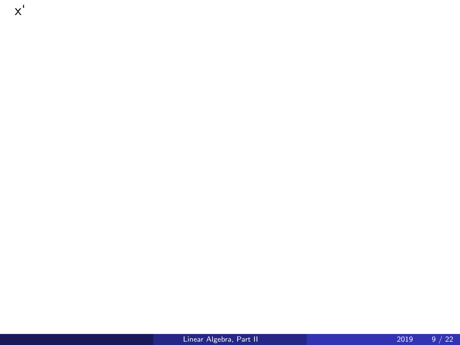[Linear Algebra, Part II](#page-0-0) 2019 9 / 22

x'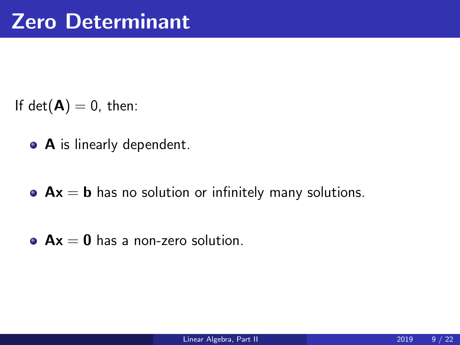- If  $det(\mathbf{A}) = 0$ , then:
	- A is linearly dependent.
	- $\bullet$  Ax = **b** has no solution or infinitely many solutions.
	- $\bullet$  Ax = 0 has a non-zero solution.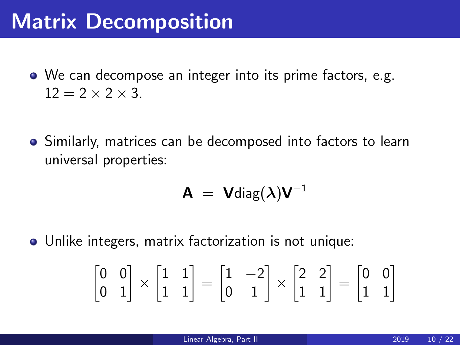## Matrix Decomposition

- We can decompose an integer into its prime factors, e.g.  $12 = 2 \times 2 \times 3$ .
- Similarly, matrices can be decomposed into factors to learn universal properties:

$$
\mathbf{A} = \mathbf{V}\text{diag}(\boldsymbol{\lambda})\mathbf{V}^{-1}
$$

Unlike integers, matrix factorization is not unique:

$$
\begin{bmatrix} 0 & 0 \\ 0 & 1 \end{bmatrix} \times \begin{bmatrix} 1 & 1 \\ 1 & 1 \end{bmatrix} = \begin{bmatrix} 1 & -2 \\ 0 & 1 \end{bmatrix} \times \begin{bmatrix} 2 & 2 \\ 1 & 1 \end{bmatrix} = \begin{bmatrix} 0 & 0 \\ 1 & 1 \end{bmatrix}
$$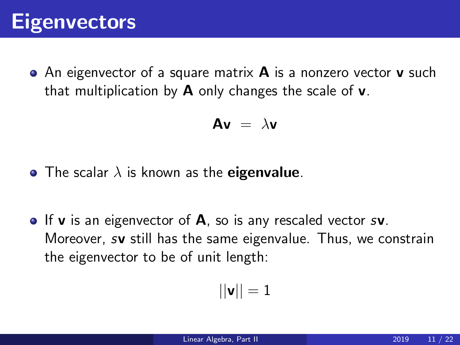

 $\bullet$  An eigenvector of a square matrix **A** is a nonzero vector **v** such that multiplication by  $\bf{A}$  only changes the scale of **v**.

$$
Av = \lambda v
$$

- The scalar  $\lambda$  is known as the **eigenvalue**.
- $\bullet$  If **v** is an eigenvector of **A**, so is any rescaled vector s**v**. Moreover, sv still has the same eigenvalue. Thus, we constrain the eigenvector to be of unit length:

$$
||\bm{v}||=1
$$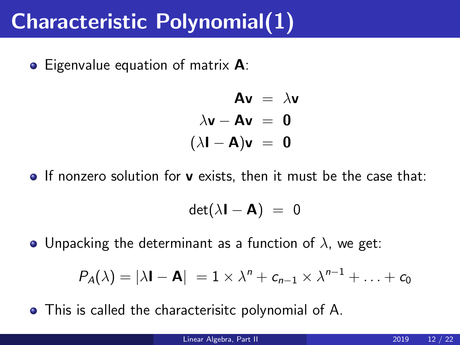## Characteristic Polynomial(1)

• Eigenvalue equation of matrix **A**:

$$
Av = \lambda v
$$
  
\n
$$
\lambda v - Av = 0
$$
  
\n
$$
(\lambda I - A)v = 0
$$

 $\bullet$  If nonzero solution for **v** exists, then it must be the case that:

$$
\det(\lambda \mathbf{I} - \mathbf{A}) = 0
$$

• Unpacking the determinant as a function of  $\lambda$ , we get:

$$
P_{\mathcal{A}}(\lambda) = |\lambda \mathbf{I} - \mathbf{A}| = 1 \times \lambda^{n} + c_{n-1} \times \lambda^{n-1} + \ldots + c_0
$$

This is called the characterisitc polynomial of A.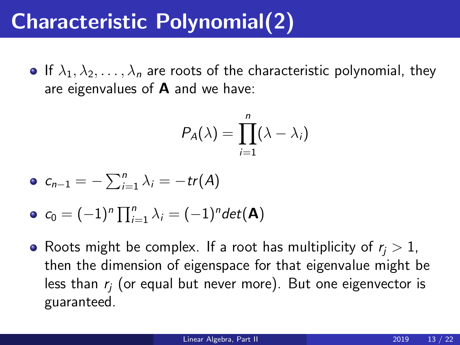# Characteristic Polynomial(2)

**If**  $\lambda_1, \lambda_2, \ldots, \lambda_n$  are roots of the characteristic polynomial, they are eigenvalues of  $A$  and we have:

$$
P_A(\lambda)=\prod_{i=1}^n(\lambda-\lambda_i)
$$

$$
\bullet \ c_{n-1} = -\sum_{i=1}^{n} \lambda_i = -tr(A)
$$

• 
$$
c_0 = (-1)^n \prod_{i=1}^n \lambda_i = (-1)^n det(\mathbf{A})
$$

• Roots might be complex. If a root has multiplicity of  $r_i > 1$ , then the dimension of eigenspace for that eigenvalue might be less than  $r_i$  (or equal but never more). But one eigenvector is guaranteed.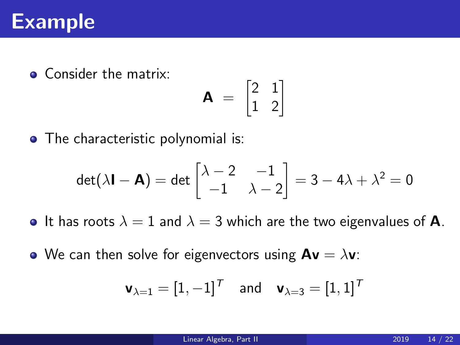#### Example

• Consider the matrix:

$$
\mathbf{A} = \begin{bmatrix} 2 & 1 \\ 1 & 2 \end{bmatrix}
$$

• The characteristic polynomial is:

$$
\det(\lambda \mathbf{I} - \mathbf{A}) = \det \begin{bmatrix} \lambda - 2 & -1 \\ -1 & \lambda - 2 \end{bmatrix} = 3 - 4\lambda + \lambda^2 = 0
$$

- It has roots  $\lambda = 1$  and  $\lambda = 3$  which are the two eigenvalues of **A**.
- We can then solve for eigenvectors using  $Av = \lambda v$ :

$$
\mathbf{v}_{\lambda=1}=[1,-1]^{\mathcal{T}}\quad\text{and}\quad\mathbf{v}_{\lambda=3}=[1,1]^{\mathcal{T}}
$$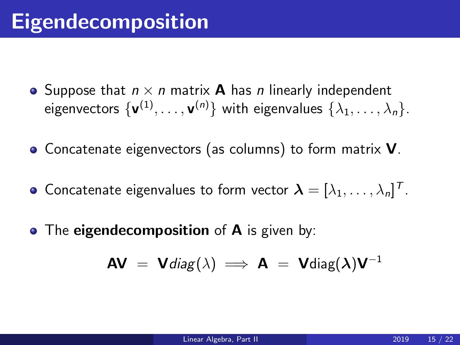- Suppose that  $n \times n$  matrix **A** has *n* linearly independent eigenvectors  $\{{\mathbf v}^{(1)},\ldots,{\mathbf v}^{(n)}\}$  with eigenvalues  $\{\lambda_1,\ldots,\lambda_n\}.$
- Concatenate eigenvectors (as columns) to form matrix **V**.
- Concatenate eigenvalues to form vector  $\boldsymbol{\lambda} = [\lambda_1, \dots, \lambda_n]^T.$
- The **eigendecomposition** of **A** is given by:

$$
AV = Vdiag(\lambda) \implies A = Vdiag(\lambda)V^{-1}
$$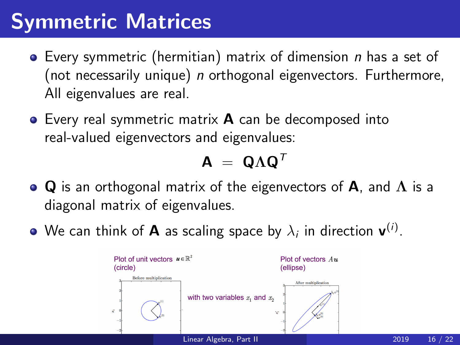# Symmetric Matrices

- $\bullet$  Every symmetric (hermitian) matrix of dimension n has a set of (not necessarily unique) n orthogonal eigenvectors. Furthermore, All eigenvalues are real.
- **•** Every real symmetric matrix **A** can be decomposed into real-valued eigenvectors and eigenvalues:

$$
\mathbf{A} = \mathbf{Q} \Lambda \mathbf{Q}^{\mathsf{T}}
$$

- Q is an orthogonal matrix of the eigenvectors of A, and  $\Lambda$  is a diagonal matrix of eigenvalues.
- We can think of **A** as scaling space by  $\lambda_i$  in direction  $\mathbf{v}^{(i)}$ .

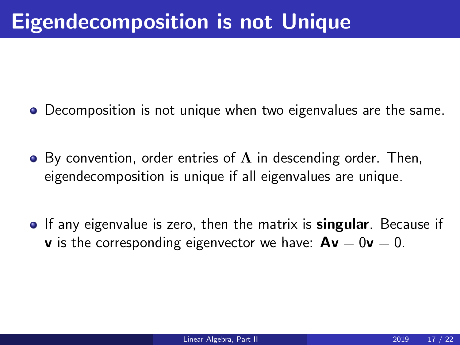- Decomposition is not unique when two eigenvalues are the same.
- By convention, order entries of  $\Lambda$  in descending order. Then, eigendecomposition is unique if all eigenvalues are unique.
- **If any eigenvalue is zero, then the matrix is singular.** Because if **v** is the corresponding eigenvector we have:  $Av = 0v = 0$ .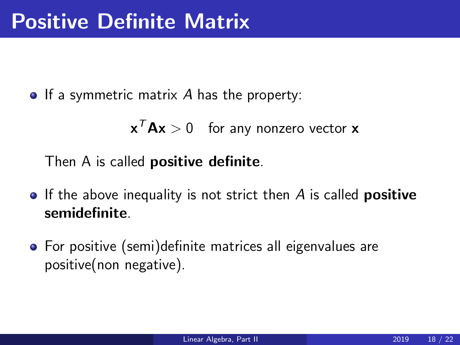$\bullet$  If a symmetric matrix A has the property:

 $\mathbf{x}^T \mathbf{A} \mathbf{x} > 0$  for any nonzero vector  $\mathbf{x}$ 

Then A is called **positive definite**.

- $\bullet$  If the above inequality is not strict then A is called **positive** semidefinite.
- For positive (semi)definite matrices all eigenvalues are positive(non negative).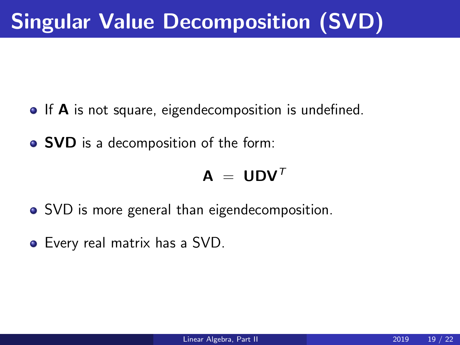- If **A** is not square, eigendecomposition is undefined.
- SVD is a decomposition of the form:

$$
\bm{A}~=~\bm{U}\bm{D}\bm{V}^T
$$

- SVD is more general than eigendecomposition.
- Every real matrix has a SVD.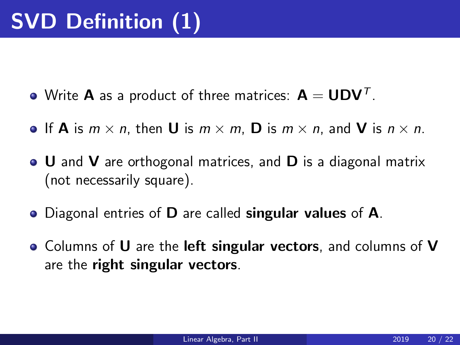- Write **A** as a product of three matrices:  $\mathbf{A} = \mathbf{U} \mathbf{D} \mathbf{V}^{\mathsf{T}}$ .
- If **A** is  $m \times n$ , then **U** is  $m \times m$ . **D** is  $m \times n$ , and **V** is  $n \times n$ .
- U and V are orthogonal matrices, and D is a diagonal matrix (not necessarily square).
- Diagonal entries of **D** are called **singular values** of **A**.
- Columns of U are the **left singular vectors**, and columns of V are the right singular vectors.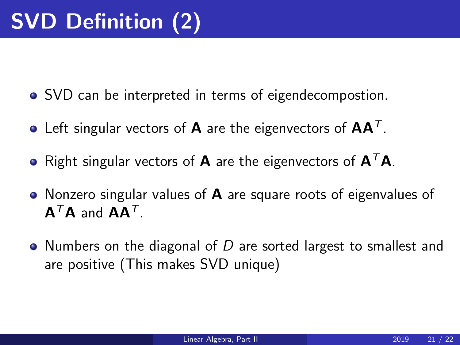- SVD can be interpreted in terms of eigendecompostion.
- Left singular vectors of  $\bm{\mathsf{A}}$  are the eigenvectors of  $\bm{\mathsf{A}}\bm{\mathsf{A}}^{\mathsf{T}}$ .
- Right singular vectors of **A** are the eigenvectors of  $A^T A$ .
- Nonzero singular values of  $\bf{A}$  are square roots of eigenvalues of  $\mathsf{A}^{\mathsf{T}}\mathsf{A}$  and  $\mathsf{A}\mathsf{A}^{\mathsf{T}}$ .
- Numbers on the diagonal of D are sorted largest to smallest and are positive (This makes SVD unique)